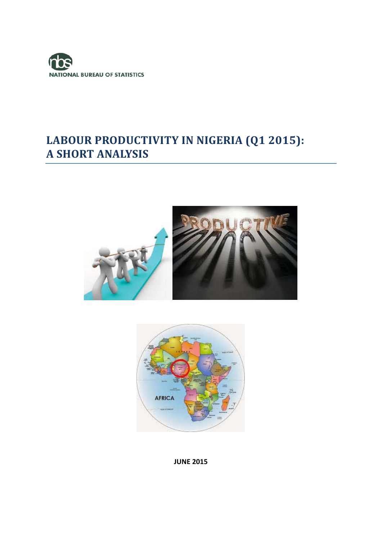

# **LABOUR PRODUCTIVITY IN NIGERIA (Q1 2015): A SHORT ANALYSIS**





#### **JUNE 2015**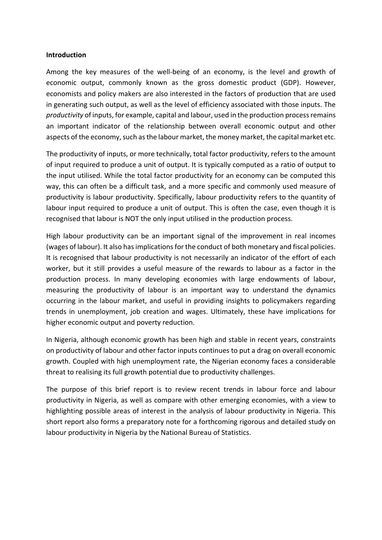#### **Introduction**

Among the key measures of the well‐being of an economy, is the level and growth of economic output, commonly known as the gross domestic product (GDP). However, economists and policy makers are also interested in the factors of production that are used in generating such output, as well as the level of efficiency associated with those inputs. The *productivity* of inputs, for example, capital and labour, used in the production processremains an important indicator of the relationship between overall economic output and other aspects of the economy, such as the labour market, the money market, the capital market etc.

The productivity of inputs, or more technically, total factor productivity, refers to the amount of input required to produce a unit of output. It is typically computed as a ratio of output to the input utilised. While the total factor productivity for an economy can be computed this way, this can often be a difficult task, and a more specific and commonly used measure of productivity is labour productivity. Specifically, labour productivity refers to the quantity of labour input required to produce a unit of output. This is often the case, even though it is recognised that labour is NOT the only input utilised in the production process.

High labour productivity can be an important signal of the improvement in real incomes (wages of labour). It also has implications for the conduct of both monetary and fiscal policies. It is recognised that labour productivity is not necessarily an indicator of the effort of each worker, but it still provides a useful measure of the rewards to labour as a factor in the production process. In many developing economies with large endowments of labour, measuring the productivity of labour is an important way to understand the dynamics occurring in the labour market, and useful in providing insights to policymakers regarding trends in unemployment, job creation and wages. Ultimately, these have implications for higher economic output and poverty reduction.

In Nigeria, although economic growth has been high and stable in recent years, constraints on productivity of labour and other factor inputs continues to put a drag on overall economic growth. Coupled with high unemployment rate, the Nigerian economy faces a considerable threat to realising its full growth potential due to productivity challenges.

The purpose of this brief report is to review recent trends in labour force and labour productivity in Nigeria, as well as compare with other emerging economies, with a view to highlighting possible areas of interest in the analysis of labour productivity in Nigeria. This short report also forms a preparatory note for a forthcoming rigorous and detailed study on labour productivity in Nigeria by the National Bureau of Statistics.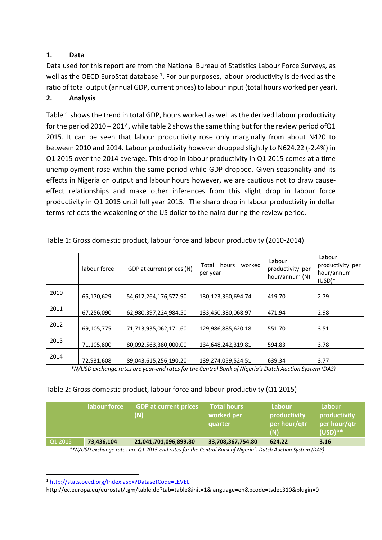# **1. Data**

Data used for this report are from the National Bureau of Statistics Labour Force Surveys, as well as the OECD EuroStat database <sup>1</sup>. For our purposes, labour productivity is derived as the ratio of total output (annual GDP, current prices) to labour input (total hours worked per year).

# **2. Analysis**

Table 1 shows the trend in total GDP, hours worked as well as the derived labour productivity for the period  $2010 - 2014$ , while table 2 shows the same thing but for the review period of Q1 2015. It can be seen that labour productivity rose only marginally from about N420 to between 2010 and 2014. Labour productivity however dropped slightly to N624.22 (‐2.4%) in Q1 2015 over the 2014 average. This drop in labour productivity in Q1 2015 comes at a time unemployment rose within the same period while GDP dropped. Given seasonality and its effects in Nigeria on output and labour hours however, we are cautious not to draw cause‐ effect relationships and make other inferences from this slight drop in labour force productivity in Q1 2015 until full year 2015. The sharp drop in labour productivity in dollar terms reflects the weakening of the US dollar to the naira during the review period.

|      | labour force | GDP at current prices (N) | worked<br>Total hours<br>per year | Labour<br>productivity per<br>hour/annum (N) | Labour<br>productivity per<br>hour/annum<br>$(USD)*$ |
|------|--------------|---------------------------|-----------------------------------|----------------------------------------------|------------------------------------------------------|
| 2010 | 65,170,629   | 54,612,264,176,577.90     | 130,123,360,694.74                | 419.70                                       | 2.79                                                 |
| 2011 | 67,256,090   | 62,980,397,224,984.50     | 133,450,380,068.97                | 471.94                                       | 2.98                                                 |
| 2012 | 69,105,775   | 71,713,935,062,171.60     | 129,986,885,620.18                | 551.70                                       | 3.51                                                 |
| 2013 | 71,105,800   | 80,092,563,380,000.00     | 134,648,242,319.81                | 594.83                                       | 3.78                                                 |
| 2014 | 72,931,608   | 89,043,615,256,190.20     | 139,274,059,524.51                | 639.34                                       | 3.77                                                 |

Table 1: Gross domestic product, labour force and labour productivity (2010‐2014)

\*N/USD exchange rates are year-end rates for the Central Bank of Nigeria's Dutch Auction System (DAS)

## Table 2: Gross domestic product, labour force and labour productivity (Q1 2015)

|                                                                                                            | labour force | <b>GDP at current prices</b><br>(N) | <b>Total hours</b><br>worked per<br>quarter | Labour<br>productivity<br>per hour/qtr<br>(N) | Labour<br>productivity<br>per hour/qtr<br>$(USD)**$ |  |  |
|------------------------------------------------------------------------------------------------------------|--------------|-------------------------------------|---------------------------------------------|-----------------------------------------------|-----------------------------------------------------|--|--|
| Q1 2015                                                                                                    | 73,436,104   | 21,041,701,096,899.80               | 33,708,367,754.80                           | 624.22                                        | 3.16                                                |  |  |
| **N/LISD exchange rates are 01 2015-end rates for the Central Bank of Nigeria's Dutch Auction System (DAS) |              |                                     |                                             |                                               |                                                     |  |  |

ige rates are Q1 2015-end rates for the Central Bank of Nigeria's Dutch Auction System (DAS)

<sup>1</sup> http://stats.oecd.org/Index.aspx?DatasetCode=LEVEL

http://ec.europa.eu/eurostat/tgm/table.do?tab=table&init=1&language=en&pcode=tsdec310&plugin=0